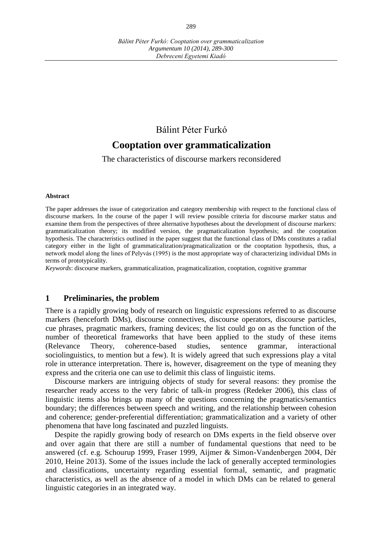# Bálint Péter Furkó

# **Cooptation over grammaticalization**

The characteristics of discourse markers reconsidered

#### **Abstract**

The paper addresses the issue of categorization and category membership with respect to the functional class of discourse markers. In the course of the paper I will review possible criteria for discourse marker status and examine them from the perspectives of three alternative hypotheses about the development of discourse markers: grammaticalization theory; its modified version, the pragmaticalization hypothesis; and the cooptation hypothesis. The characteristics outlined in the paper suggest that the functional class of DMs constitutes a radial category either in the light of grammaticalization/pragmaticalization or the cooptation hypothesis, thus, a network model along the lines of Pelyvás (1995) is the most appropriate way of characterizing individual DMs in terms of prototypicality.

*Keywords*: discourse markers, grammaticalization, pragmaticalization, cooptation, cognitive grammar

# **1 Preliminaries, the problem**

There is a rapidly growing body of research on linguistic expressions referred to as discourse markers (henceforth DMs), discourse connectives, discourse operators, discourse particles, cue phrases, pragmatic markers, framing devices; the list could go on as the function of the number of theoretical frameworks that have been applied to the study of these items (Relevance Theory, coherence-based studies, sentence grammar, interactional sociolinguistics, to mention but a few). It is widely agreed that such expressions play a vital role in utterance interpretation. There is, however, disagreement on the type of meaning they express and the criteria one can use to delimit this class of linguistic items.

Discourse markers are intriguing objects of study for several reasons: they promise the researcher ready access to the very fabric of talk-in progress (Redeker 2006), this class of linguistic items also brings up many of the questions concerning the pragmatics/semantics boundary; the differences between speech and writing, and the relationship between cohesion and coherence; gender-preferential differentiation; grammaticalization and a variety of other phenomena that have long fascinated and puzzled linguists.

Despite the rapidly growing body of research on DMs experts in the field observe over and over again that there are still a number of fundamental questions that need to be answered (cf. e.g. Schourup 1999, Fraser 1999, Aijmer & Simon-Vandenbergen 2004, Dér 2010, Heine 2013). Some of the issues include the lack of generally accepted terminologies and classifications, uncertainty regarding essential formal, semantic, and pragmatic characteristics, as well as the absence of a model in which DMs can be related to general linguistic categories in an integrated way.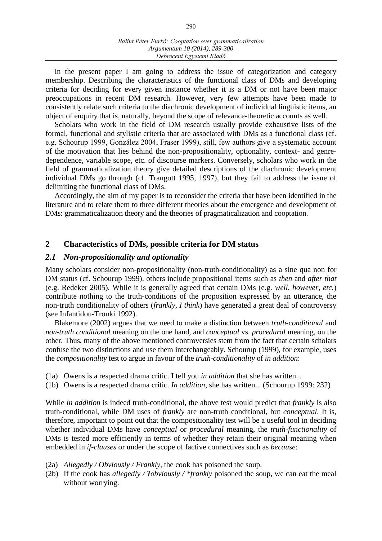In the present paper I am going to address the issue of categorization and category membership. Describing the characteristics of the functional class of DMs and developing criteria for deciding for every given instance whether it is a DM or not have been major preoccupations in recent DM research. However, very few attempts have been made to consistently relate such criteria to the diachronic development of individual linguistic items, an object of enquiry that is, naturally, beyond the scope of relevance-theoretic accounts as well.

Scholars who work in the field of DM research usually provide exhaustive lists of the formal, functional and stylistic criteria that are associated with DMs as a functional class (cf. e.g. Schourup 1999, González 2004, Fraser 1999), still, few authors give a systematic account of the motivation that lies behind the non-propositionality, optionality, context- and genredependence, variable scope, etc. of discourse markers. Conversely, scholars who work in the field of grammaticalization theory give detailed descriptions of the diachronic development individual DMs go through (cf. Traugott 1995, 1997), but they fail to address the issue of delimiting the functional class of DMs.

Accordingly, the aim of my paper is to reconsider the criteria that have been identified in the literature and to relate them to three different theories about the emergence and development of DMs: grammaticalization theory and the theories of pragmaticalization and cooptation.

### **2 Characteristics of DMs, possible criteria for DM status**

### *2.1 Non-propositionality and optionality*

Many scholars consider non-propositionality (non-truth-conditionality) as a sine qua non for DM status (cf. Schourup 1999), others include propositional items such as *then* and *after that* (e.g. Redeker 2005). While it is generally agreed that certain DMs (e.g. *well, however, etc.*) contribute nothing to the truth-conditions of the proposition expressed by an utterance, the non-truth conditionality of others (*frankly, I think*) have generated a great deal of controversy (see Infantidou-Trouki 1992).

Blakemore (2002) argues that we need to make a distinction between *truth-conditional* and *non-truth conditional* meaning on the one hand, and *conceptual* vs. *procedural* meaning, on the other. Thus, many of the above mentioned controversies stem from the fact that certain scholars confuse the two distinctions and use them interchangeably. Schourup (1999), for example, uses the *compositionality* test to argue in favour of the *truth-conditionality* of *in addition*:

- (1a) Owens is a respected drama critic. I tell you *in addition* that she has written...
- (1b) Owens is a respected drama critic. *In addition*, she has written... (Schourup 1999: 232)

While *in addition* is indeed truth-conditional, the above test would predict that *frankly* is also truth-conditional, while DM uses of *frankly* are non-truth conditional, but *conceptual*. It is, therefore, important to point out that the compositionality test will be a useful tool in deciding whether individual DMs have *conceptual* or *procedural* meaning, the *truth-functionality* of DMs is tested more efficiently in terms of whether they retain their original meaning when embedded in *if-clauses* or under the scope of factive connectives such as *because*:

- (2a) *Allegedly / Obviously / Frankly*, the cook has poisoned the soup.
- (2b) If the cook has *allegedly /* ?*obviously / \*frankly* poisoned the soup, we can eat the meal without worrying.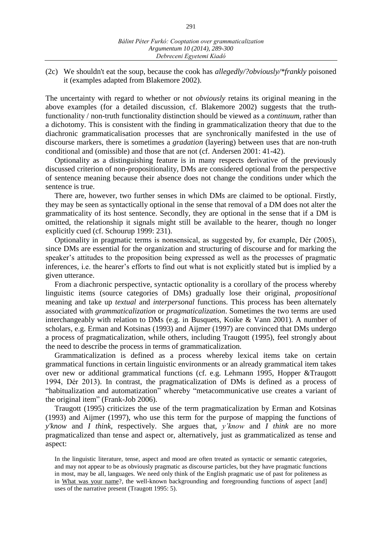(2c) We shouldn't eat the soup, because the cook has *allegedly/?obviously/\*frankly* poisoned it (examples adapted from Blakemore 2002).

The uncertainty with regard to whether or not *obviously* retains its original meaning in the above examples (for a detailed discussion, cf. Blakemore 2002) suggests that the truthfunctionality / non-truth functionality distinction should be viewed as a *continuum*, rather than a dichotomy. This is consistent with the finding in grammaticalization theory that due to the diachronic grammaticalisation processes that are synchronically manifested in the use of discourse markers, there is sometimes a *gradation* (layering) between uses that are non-truth conditional and (omissible) and those that are not (cf. Andersen 2001: 41-42).

Optionality as a distinguishing feature is in many respects derivative of the previously discussed criterion of non-propositionality, DMs are considered optional from the perspective of sentence meaning because their absence does not change the conditions under which the sentence is true.

There are, however, two further senses in which DMs are claimed to be optional. Firstly, they may be seen as syntactically optional in the sense that removal of a DM does not alter the grammaticality of its host sentence. Secondly, they are optional in the sense that if a DM is omitted, the relationship it signals might still be available to the hearer, though no longer explicitly cued (cf. Schourup 1999: 231).

Optionality in pragmatic terms is nonsensical, as suggested by, for example, Dér (2005), since DMs are essential for the organization and structuring of discourse and for marking the speaker's attitudes to the proposition being expressed as well as the processes of pragmatic inferences, i.e. the hearer's efforts to find out what is not explicitly stated but is implied by a given utterance.

From a diachronic perspective, syntactic optionality is a corollary of the process whereby linguistic items (source categories of DMs) gradually lose their original, *propositional* meaning and take up *textual* and *interpersonal* functions. This process has been alternately associated with *grammaticalization* or *pragmaticalization*. Sometimes the two terms are used interchangeably with relation to DMs (e.g. in Busquets, Koike & Vann 2001). A number of scholars, e.g. Erman and Kotsinas (1993) and Aijmer (1997) are convinced that DMs undergo a process of pragmaticalization, while others, including Traugott (1995), feel strongly about the need to describe the process in terms of grammaticalization.

Grammaticalization is defined as a process whereby lexical items take on certain grammatical functions in certain linguistic environments or an already grammatical item takes over new or additional grammatical functions (cf. e.g. Lehmann 1995, Hopper &Traugott 1994, Dér 2013). In contrast, the pragmaticalization of DMs is defined as a process of "habitualization and automatization" whereby "metacommunicative use creates a variant of the original item" (Frank-Job 2006).

Traugott (1995) criticizes the use of the term pragmaticalization by Erman and Kotsinas (1993) and Aijmer (1997), who use this term for the purpose of mapping the functions of *y'know* and *I think*, respectively. She argues that, *y'know* and *I think* are no more pragmaticalized than tense and aspect or, alternatively, just as grammaticalized as tense and aspect:

In the linguistic literature, tense, aspect and mood are often treated as syntactic or semantic categories, and may not appear to be as obviously pragmatic as discourse particles, but they have pragmatic functions in most, may be all, languages. We need only think of the English pragmatic use of past for politeness as in What was your name?, the well-known backgrounding and foregrounding functions of aspect [and] uses of the narrative present (Traugott 1995: 5).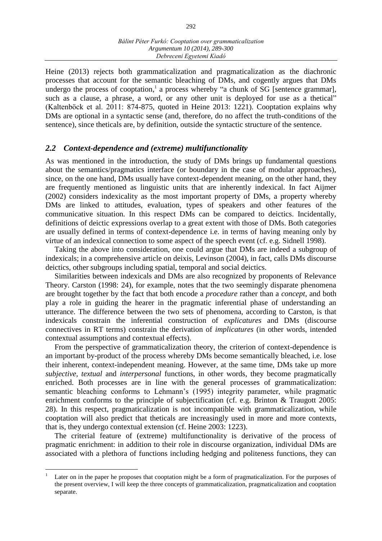Heine (2013) rejects both grammaticalization and pragmaticalization as the diachronic processes that account for the semantic bleaching of DMs, and cogently argues that DMs undergo the process of cooptation,<sup>1</sup> a process whereby "a chunk of SG [sentence grammar], such as a clause, a phrase, a word, or any other unit is deployed for use as a thetical" (Kaltenböck et al. 2011: 874-875, quoted in Heine 2013: 1221). Cooptation explains why DMs are optional in a syntactic sense (and, therefore, do no affect the truth-conditions of the sentence), since theticals are, by definition, outside the syntactic structure of the sentence.

### *2.2 Context-dependence and (extreme) multifunctionality*

As was mentioned in the introduction, the study of DMs brings up fundamental questions about the semantics/pragmatics interface (or boundary in the case of modular approaches), since, on the one hand, DMs usually have context-dependent meaning, on the other hand, they are frequently mentioned as linguistic units that are inherently indexical. In fact Aijmer (2002) considers indexicality as the most important property of DMs, a property whereby DMs are linked to attitudes, evaluation, types of speakers and other features of the communicative situation. In this respect DMs can be compared to deictics. Incidentally, definitions of deictic expressions overlap to a great extent with those of DMs. Both categories are usually defined in terms of context-dependence i.e. in terms of having meaning only by virtue of an indexical connection to some aspect of the speech event (cf. e.g. Sidnell 1998).

Taking the above into consideration, one could argue that DMs are indeed a subgroup of indexicals; in a comprehensive article on deixis, Levinson (2004), in fact, calls DMs discourse deictics, other subgroups including spatial, temporal and social deictics.

Similarities between indexicals and DMs are also recognized by proponents of Relevance Theory. Carston (1998: 24), for example, notes that the two seemingly disparate phenomena are brought together by the fact that both encode a *procedure* rather than a *concept*, and both play a role in guiding the hearer in the pragmatic inferential phase of understanding an utterance. The difference between the two sets of phenomena, according to Carston, is that indexicals constrain the inferential construction of *explicatures* and DMs (discourse connectives in RT terms) constrain the derivation of *implicatures* (in other words, intended contextual assumptions and contextual effects).

From the perspective of grammaticalization theory, the criterion of context-dependence is an important by-product of the process whereby DMs become semantically bleached, i.e. lose their inherent, context-independent meaning. However, at the same time, DMs take up more *subjective, textual* and *interpersonal* functions, in other words, they become pragmatically enriched. Both processes are in line with the general processes of grammaticalization: semantic bleaching conforms to Lehmann's (1995) integrity parameter, while pragmatic enrichment conforms to the principle of subjectification (cf. e.g. Brinton & Traugott 2005: 28). In this respect, pragmaticalization is not incompatible with grammaticalization, while cooptation will also predict that theticals are increasingly used in more and more contexts, that is, they undergo contextual extension (cf. Heine 2003: 1223).

The criterial feature of (extreme) multifunctionality is derivative of the process of pragmatic enrichment: in addition to their role in discourse organization, individual DMs are associated with a plethora of functions including hedging and politeness functions, they can

 $\overline{a}$ 

Later on in the paper he proposes that cooptation might be a form of pragmaticalization. For the purposes of the present overview, I will keep the three concepts of grammaticalization, pragmaticalization and cooptation separate.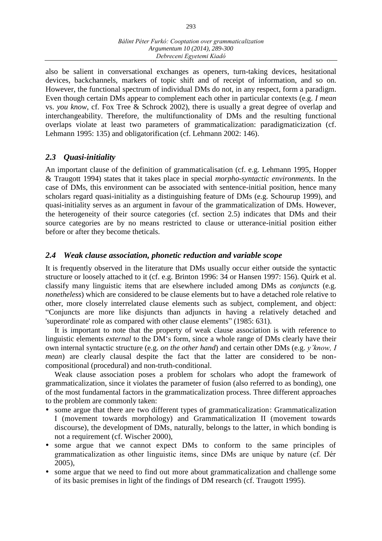also be salient in conversational exchanges as openers, turn-taking devices, hesitational devices, backchannels, markers of topic shift and of receipt of information, and so on. However, the functional spectrum of individual DMs do not, in any respect, form a paradigm. Even though certain DMs appear to complement each other in particular contexts (e.g. *I mean* vs. *you know*, cf. Fox Tree & Schrock 2002), there is usually a great degree of overlap and interchangeability. Therefore, the multifunctionality of DMs and the resulting functional overlaps violate at least two parameters of grammaticalization: paradigmaticization (cf. Lehmann 1995: 135) and obligatorification (cf. Lehmann 2002: 146).

# *2.3 Quasi-initiality*

An important clause of the definition of grammaticalisation (cf. e.g. Lehmann 1995, Hopper & Traugott 1994) states that it takes place in special *morpho-syntactic environments*. In the case of DMs, this environment can be associated with sentence-initial position, hence many scholars regard quasi-initiality as a distinguishing feature of DMs (e.g. Schourup 1999), and quasi-initiality serves as an argument in favour of the grammaticalization of DMs. However, the heterogeneity of their source categories (cf. section 2.5) indicates that DMs and their source categories are by no means restricted to clause or utterance-initial position either before or after they become theticals.

# *2.4 Weak clause association, phonetic reduction and variable scope*

It is frequently observed in the literature that DMs usually occur either outside the syntactic structure or loosely attached to it (cf. e.g. Brinton 1996: 34 or Hansen 1997: 156). Quirk et al. classify many linguistic items that are elsewhere included among DMs as *conjuncts* (e.g. *nonetheless*) which are considered to be clause elements but to have a detached role relative to other, more closely interrelated clause elements such as subject, complement, and object: "Conjuncts are more like disjuncts than adjuncts in having a relatively detached and 'superordinate' role as compared with other clause elements" (1985: 631).

It is important to note that the property of weak clause association is with reference to linguistic elements *external* to the DM's form, since a whole range of DMs clearly have their own internal syntactic structure (e.g. *on the other hand*) and certain other DMs (e.g. *y'know, I mean*) are clearly clausal despite the fact that the latter are considered to be noncompositional (procedural) and non-truth-conditional.

Weak clause association poses a problem for scholars who adopt the framework of grammaticalization, since it violates the parameter of fusion (also referred to as bonding), one of the most fundamental factors in the grammaticalization process. Three different approaches to the problem are commonly taken:

- some argue that there are two different types of grammaticalization: Grammaticalization I (movement towards morphology) and Grammaticalization II (movement towards discourse), the development of DMs, naturally, belongs to the latter, in which bonding is not a requirement (cf. Wischer 2000),
- some argue that we cannot expect DMs to conform to the same principles of grammaticalization as other linguistic items, since DMs are unique by nature (cf. Dér 2005),
- some argue that we need to find out more about grammaticalization and challenge some of its basic premises in light of the findings of DM research (cf. Traugott 1995).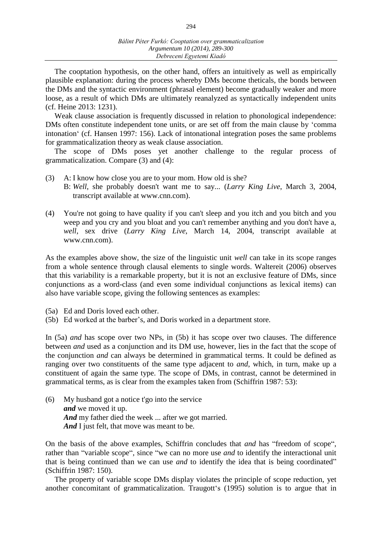The cooptation hypothesis, on the other hand, offers an intuitively as well as empirically plausible explanation: during the process whereby DMs become theticals, the bonds between the DMs and the syntactic environment (phrasal element) become gradually weaker and more loose, as a result of which DMs are ultimately reanalyzed as syntactically independent units (cf. Heine 2013: 1231).

Weak clause association is frequently discussed in relation to phonological independence: DMs often constitute independent tone units, or are set off from the main clause by 'comma intonation' (cf. Hansen 1997: 156). Lack of intonational integration poses the same problems for grammaticalization theory as weak clause association.

The scope of DMs poses yet another challenge to the regular process of grammaticalization. Compare (3) and (4):

- (3) A: I know how close you are to your mom. How old is she?
	- B: *Well*, she probably doesn't want me to say... (*Larry King Live*, March 3, 2004, transcript available at www.cnn.com).
- (4) You're not going to have quality if you can't sleep and you itch and you bitch and you weep and you cry and you bloat and you can't remember anything and you don't have a, *well*, sex drive (*Larry King Live*, March 14, 2004, transcript available at www.cnn.com).

As the examples above show, the size of the linguistic unit *well* can take in its scope ranges from a whole sentence through clausal elements to single words. Waltereit (2006) observes that this variability is a remarkable property, but it is not an exclusive feature of DMs, since conjunctions as a word-class (and even some individual conjunctions as lexical items) can also have variable scope, giving the following sentences as examples:

- (5a) Ed and Doris loved each other.
- (5b) Ed worked at the barber's, and Doris worked in a department store.

In (5a) *and* has scope over two NPs, in (5b) it has scope over two clauses. The difference between *and* used as a conjunction and its DM use, however, lies in the fact that the scope of the conjunction *and* can always be determined in grammatical terms. It could be defined as ranging over two constituents of the same type adjacent to *and*, which, in turn, make up a constituent of again the same type. The scope of DMs, in contrast, cannot be determined in grammatical terms, as is clear from the examples taken from (Schiffrin 1987: 53):

(6) My husband got a notice t'go into the service *and* we moved it up. And my father died the week ... after we got married. And I just felt, that move was meant to be.

On the basis of the above examples, Schiffrin concludes that *and* has "freedom of scope", rather than "variable scope", since "we can no more use *and* to identify the interactional unit that is being continued than we can use *and* to identify the idea that is being coordinated" (Schiffrin 1987: 150).

The property of variable scope DMs display violates the principle of scope reduction, yet another concomitant of grammaticalization. Traugott's (1995) solution is to argue that in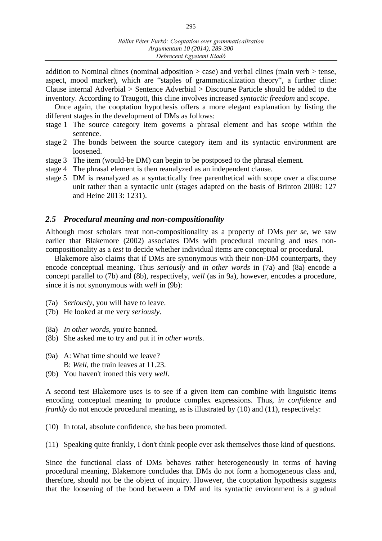addition to Nominal clines (nominal adposition  $>$  case) and verbal clines (main verb  $>$  tense, aspect, mood marker), which are "staples of grammaticalization theory", a further cline: Clause internal Adverbial > Sentence Adverbial > Discourse Particle should be added to the inventory. According to Traugott, this cline involves increased *syntactic freedom* and *scope*.

Once again, the cooptation hypothesis offers a more elegant explanation by listing the different stages in the development of DMs as follows:

- stage 1 The source category item governs a phrasal element and has scope within the sentence.
- stage 2 The bonds between the source category item and its syntactic environment are loosened.
- stage 3 The item (would-be DM) can begin to be postposed to the phrasal element.
- stage 4 The phrasal element is then reanalyzed as an independent clause.
- stage 5 DM is reanalyzed as a syntactically free parenthetical with scope over a discourse unit rather than a syntactic unit (stages adapted on the basis of Brinton 2008: 127 and Heine 2013: 1231).

### *2.5 Procedural meaning and non-compositionality*

Although most scholars treat non-compositionality as a property of DMs *per se,* we saw earlier that Blakemore (2002) associates DMs with procedural meaning and uses noncompositionality as a *test* to decide whether individual items are conceptual or procedural.

Blakemore also claims that if DMs are synonymous with their non-DM counterparts, they encode conceptual meaning. Thus *seriously* and *in other words* in (7a) and (8a) encode a concept parallel to (7b) and (8b), respectively, *well* (as in 9a), however, encodes a procedure, since it is not synonymous with *well* in (9b):

- (7a) *Seriously*, you will have to leave.
- (7b) He looked at me very *seriously*.
- (8a) *In other words*, you're banned.
- (8b) She asked me to try and put it *in other words*.
- (9a) A: What time should we leave? B: *Well*, the train leaves at 11.23.
- (9b) You haven't ironed this very *well*.

A second test Blakemore uses is to see if a given item can combine with linguistic items encoding conceptual meaning to produce complex expressions. Thus, *in confidence* and *frankly* do not encode procedural meaning, as is illustrated by (10) and (11), respectively:

- (10) In total, absolute confidence, she has been promoted.
- (11) Speaking quite frankly, I don't think people ever ask themselves those kind of questions.

Since the functional class of DMs behaves rather heterogeneously in terms of having procedural meaning, Blakemore concludes that DMs do not form a homogeneous class and, therefore, should not be the object of inquiry. However, the cooptation hypothesis suggests that the loosening of the bond between a DM and its syntactic environment is a gradual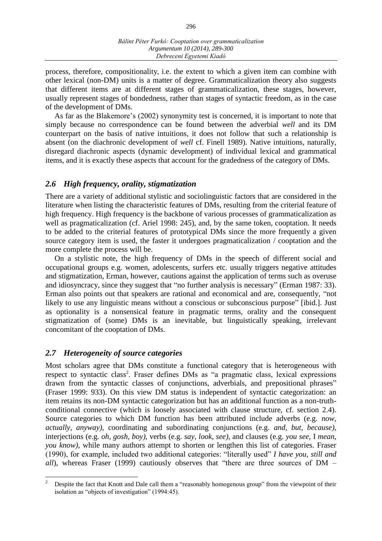process, therefore, compositionality, i.e. the extent to which a given item can combine with other lexical (non-DM) units is a matter of degree. Grammaticalization theory also suggests that different items are at different stages of grammaticalization, these stages, however, usually represent stages of bondedness, rather than stages of syntactic freedom, as in the case of the development of DMs.

As far as the Blakemore's (2002) synonymity test is concerned, it is important to note that simply because no correspondence can be found between the adverbial *well* and its DM counterpart on the basis of native intuitions, it does not follow that such a relationship is absent (on the diachronic development of *well* cf. Finell 1989). Native intuitions, naturally, disregard diachronic aspects (dynamic development) of individual lexical and grammatical items, and it is exactly these aspects that account for the gradedness of the category of DMs.

## *2.6 High frequency, orality, stigmatization*

There are a variety of additional stylistic and sociolinguistic factors that are considered in the literature when listing the characteristic features of DMs, resulting from the criterial feature of high frequency. High frequency is the backbone of various processes of grammaticalization as well as pragmaticalization (cf. Ariel 1998: 245), and, by the same token, cooptation. It needs to be added to the criterial features of prototypical DMs since the more frequently a given source category item is used, the faster it undergoes pragmaticalization / cooptation and the more complete the process will be.

On a stylistic note, the high frequency of DMs in the speech of different social and occupational groups e.g. women, adolescents, surfers etc. usually triggers negative attitudes and stigmatization, Erman, however, cautions against the application of terms such as overuse and idiosyncracy, since they suggest that "no further analysis is necessary" (Erman 1987: 33). Erman also points out that speakers are rational and economical and are, consequently, "not likely to use any linguistic means without a conscious or subconscious purpose" [ibid.]. Just as optionality is a nonsensical feature in pragmatic terms, orality and the consequent stigmatization of (some) DMs is an inevitable, but linguistically speaking, irrelevant concomitant of the cooptation of DMs.

### *2.7 Heterogeneity of source categories*

Most scholars agree that DMs constitute a functional category that is heterogeneous with respect to syntactic class<sup>2</sup>. Fraser defines DMs as "a pragmatic class, lexical expressions drawn from the syntactic classes of conjunctions, adverbials, and prepositional phrases" (Fraser 1999: 933). On this view DM status is independent of syntactic categorization: an item retains its non-DM syntactic categorization but has an additional function as a non-truthconditional connective (which is loosely associated with clause structure, cf. section 2.4). Source categories to which DM function has been attributed include adverbs (e.g. *now, actually, anyway),* coordinating and subordinating conjunctions (e.g. *and, but, because),*  interjections (e.g. *oh, gosh, boy),* verbs (e.g. *say, look, see),* and clauses (e.g. *you see*, I *mean, you know)*, while many authors attempt to shorten or lengthen this list of categories. Fraser (1990), for example, included two additional categories: "literally used" *I have you, still and all*), whereas Fraser (1999) cautiously observes that "there are three sources of DM –

 $\overline{c}$ <sup>2</sup> Despite the fact that Knott and Dale call them a "reasonably homogenous group" from the viewpoint of their isolation as "objects of investigation" (1994:45).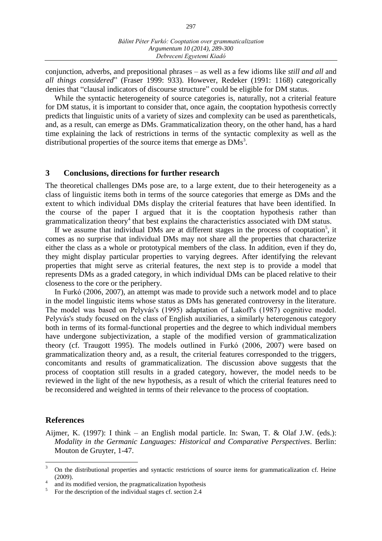conjunction, adverbs, and prepositional phrases ‒ as well as a few idioms like *still and all* and *all things considered*" (Fraser 1999: 933). However, Redeker (1991: 1168) categorically denies that "clausal indicators of discourse structure" could be eligible for DM status.

While the syntactic heterogeneity of source categories is, naturally, not a criterial feature for DM status, it is important to consider that, once again, the cooptation hypothesis correctly predicts that linguistic units of a variety of sizes and complexity can be used as parentheticals, and, as a result, can emerge as DMs. Grammaticalization theory, on the other hand, has a hard time explaining the lack of restrictions in terms of the syntactic complexity as well as the distributional properties of the source items that emerge as  $\text{DMs}^3$ .

### **3 Conclusions, directions for further research**

The theoretical challenges DMs pose are, to a large extent, due to their heterogeneity as a class of linguistic items both in terms of the source categories that emerge as DMs and the extent to which individual DMs display the criterial features that have been identified. In the course of the paper I argued that it is the cooptation hypothesis rather than grammaticalization theory<sup>4</sup> that best explains the characteristics associated with DM status.

If we assume that individual DMs are at different stages in the process of cooptation<sup>5</sup>, it comes as no surprise that individual DMs may not share all the properties that characterize either the class as a whole or prototypical members of the class. In addition, even if they do, they might display particular properties to varying degrees. After identifying the relevant properties that might serve as criterial features, the next step is to provide a model that represents DMs as a graded category, in which individual DMs can be placed relative to their closeness to the core or the periphery.

In Furkó (2006, 2007), an attempt was made to provide such a network model and to place in the model linguistic items whose status as DMs has generated controversy in the literature. The model was based on Pelyvás's (1995) adaptation of Lakoff's (1987) cognitive model. Pelyvás's study focused on the class of English auxiliaries, a similarly heterogenous category both in terms of its formal-functional properties and the degree to which individual members have undergone subjectivization, a staple of the modified version of grammaticalization theory (cf. Traugott 1995). The models outlined in Furkó (2006, 2007) were based on grammaticalization theory and, as a result, the criterial features corresponded to the triggers, concomitants and results of grammaticalization. The discussion above suggests that the process of cooptation still results in a graded category, however, the model needs to be reviewed in the light of the new hypothesis, as a result of which the criterial features need to be reconsidered and weighted in terms of their relevance to the process of cooptation.

### **References**

Aijmer, K. (1997): I think – an English modal particle. In: Swan, T. & Olaf J.W. (eds.): *Modality in the Germanic Languages: Historical and Comparative Perspectives*. Berlin: Mouton de Gruyter, 1-47.

 $\overline{3}$ <sup>3</sup> On the distributional properties and syntactic restrictions of source items for grammaticalization cf. Heine (2009).

<sup>4</sup> and its modified version, the pragmaticalization hypothesis

<sup>5</sup> For the description of the individual stages cf. section 2.4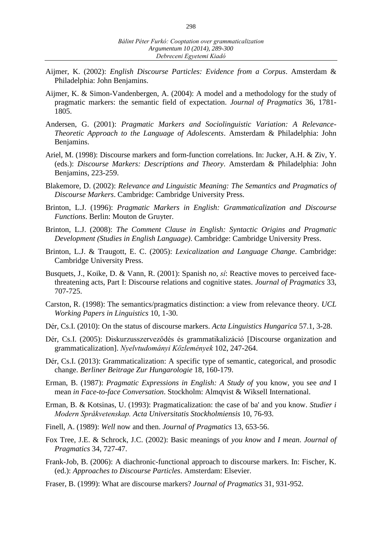- Aijmer, K. (2002): *English Discourse Particles: Evidence from a Corpus*. Amsterdam & Philadelphia: John Benjamins.
- Aijmer, K. & Simon-Vandenbergen, A. (2004): A model and a methodology for the study of pragmatic markers: the semantic field of expectation. *Journal of Pragmatics* 36, 1781- 1805.
- Andersen, G. (2001): *Pragmatic Markers and Sociolinguistic Variation: A Relevance-Theoretic Approach to the Language of Adolescents*. Amsterdam & Philadelphia: John Benjamins.
- Ariel, M. (1998): Discourse markers and form-function correlations. In: Jucker, A.H. & Ziv, Y. (eds.): *Discourse Markers: Descriptions and Theory*. Amsterdam & Philadelphia: John Benjamins, 223-259.
- Blakemore, D. (2002): *Relevance and Linguistic Meaning: The Semantics and Pragmatics of Discourse Markers*. Cambridge: Cambridge University Press.
- Brinton, L.J. (1996): *Pragmatic Markers in English: Grammaticalization and Discourse Functions*. Berlin: Mouton de Gruyter.
- Brinton, L.J. (2008): *The Comment Clause in English: Syntactic Origins and Pragmatic Development (Studies in English Language)*. Cambridge: Cambridge University Press.
- Brinton, L.J. & Traugott, E. C. (2005): *Lexicalization and Language Change*. Cambridge: Cambridge University Press.
- Busquets, J., Koike, D. & Vann, R. (2001): Spanish *no*, *sí*: Reactive moves to perceived facethreatening acts, Part I: Discourse relations and cognitive states. *Journal of Pragmatics* 33, 707-725.
- Carston, R. (1998): The semantics/pragmatics distinction: a view from relevance theory. *UCL Working Papers in Linguistics* 10, 1-30.
- Dér, Cs.I. (2010): On the status of discourse markers. *Acta Linguistics Hungarica* 57.1, 3-28.
- Dér, Cs.I. (2005): Diskurzusszerveződés és grammatikalizáció [Discourse organization and grammaticalization]. *Nyelvtudományi Közlemények* 102, 247-264.
- Dér, Cs.I. (2013): Grammaticalization: A specific type of semantic, categorical, and prosodic change. *Berliner Beitrage Zur Hungarologie* 18, 160-179.
- Erman, B. (1987): *Pragmatic Expressions in English: A Study of* you know, you see *and* I mean *in Face-to-face Conversation*. Stockholm: Almqvist & Wiksell International.
- Erman, B. & Kotsinas, U. (1993): Pragmaticalization: the case of ba' and you know. *Studier i Modern Språkvetenskap. Acta Universitatis Stockholmiensis* 10, 76-93.
- Finell, A. (1989): *Well* now and then. *Journal of Pragmatics* 13, 653-56.
- Fox Tree, J.E. & Schrock, J.C. (2002): Basic meanings of *you know* and *I mean*. *Journal of Pragmatics* 34, 727-47.
- Frank-Job, B. (2006): A diachronic-functional approach to discourse markers. In: Fischer, K. (ed.): *Approaches to Discourse Particles*. Amsterdam: Elsevier.
- Fraser, B. (1999): What are discourse markers? *Journal of Pragmatics* 31, 931-952.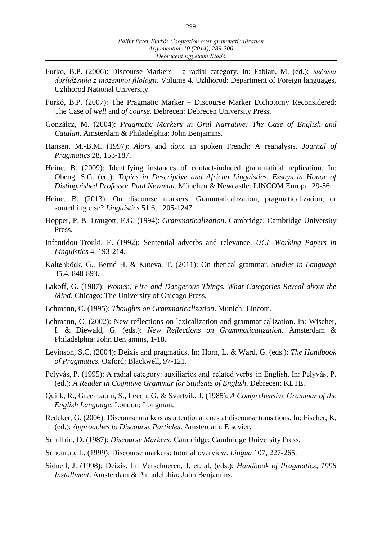- Furkó, B.P. (2006): Discourse Markers ‒ a radial category. In: Fabian, M. (ed.): *Sučasni doslidženńa z inozemnoï filologiï*. Volume 4. Uzhhorod: Department of Foreign languages, Uzhhorod National University.
- Furkó, B.P. (2007): The Pragmatic Marker Discourse Marker Dichotomy Reconsidered: The Case of *well* and *of course*. Debrecen: Debrecen University Press.
- González, M. (2004): *Pragmatic Markers in Oral Narrative: The Case of English and Catalan*. Amsterdam & Philadelphia: John Benjamins.
- Hansen, M.-B.M. (1997): *Alors* and *donc* in spoken French: A reanalysis. *Journal of Pragmatics* 28, 153-187.
- Heine, B. (2009): Identifying instances of contact-induced grammatical replication. In: Obeng, S.G. (ed.): *Topics in Descriptive and African Linguistics. Essays in Honor of Distinguished Professor Paul Newman*. München & Newcastle: LINCOM Europa, 29-56.
- Heine, B. (2013): On discourse markers: Grammaticalization, pragmaticalization, or something else? *Linguistics* 51.6, 1205-1247.
- Hopper, P. & Traugott, E.G. (1994): *Grammaticalization*. Cambridge: Cambridge University Press.
- Infantidou-Trouki, E. (1992): Sentential adverbs and relevance. *UCL Working Papers in Linguistics* 4, 193-214.
- Kaltenböck, G., Bernd H. & Kuteva, T. (2011): On thetical grammar. *Studies in Language* 35.4, 848-893.
- Lakoff, G. (1987): *Women, Fire and Dangerous Things. What Categories Reveal about the Mind*. Chicago: The University of Chicago Press.
- Lehmann, C. (1995): *Thoughts on Grammaticalization*. Munich: Lincom.
- Lehmann, C. (2002): New reflections on lexicalization and grammaticalization. In: Wischer, I. & Diewald, G. (eds.): *New Reflections on Grammaticalization*. Amsterdam & Philadelphia: John Benjamins, 1-18.
- Levinson, S.C. (2004): Deixis and pragmatics. In: Horn, L. & Ward, G. (eds.): *The Handbook of Pragmatics*. Oxford: Blackwell, 97-121.
- Pelyvás, P. (1995): A radial category: auxiliaries and 'related verbs' in English. In: Pelyvás, P. (ed.): *A Reader in Cognitive Grammar for Students of English*. Debrecen: KLTE.
- Quirk, R., Greenbaum, S., Leech, G. & Svartvik, J. (1985): *A Comprehensive Grammar of the English Language*. London: Longman.
- Redeker, G. (2006): Discourse markers as attentional cues at discourse transitions. In: Fischer, K. (ed.): *Approaches to Discourse Particles*. Amsterdam: Elsevier.
- Schiffrin, D. (1987): *Discourse Markers*. Cambridge: Cambridge University Press.
- Schourup, L. (1999): Discourse markers: tutorial overview. *Lingua* 107, 227-265.
- Sidnell, J. (1998): Deixis. In: Verschueren, J. et. al. (eds.): *Handbook of Pragmatics, 1998 Installment*. Amsterdam & Philadelphia: John Benjamins.